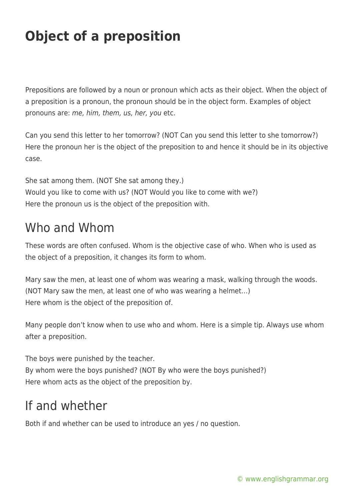## **Object of a preposition**

Prepositions are followed by a noun or pronoun which acts as their object. When the object of a preposition is a pronoun, the pronoun should be in the object form. Examples of object pronouns are: me, him, them, us, her, you etc.

Can you send this letter to her tomorrow? (NOT Can you send this letter to she tomorrow?) Here the pronoun her is the object of the preposition to and hence it should be in its objective case.

She sat among them. (NOT She sat among they.) Would you like to come with us? (NOT Would you like to come with we?) Here the pronoun us is the object of the preposition with.

## Who and Whom

These words are often confused. Whom is the objective case of who. When who is used as the object of a preposition, it changes its form to whom.

Mary saw the men, at least one of whom was wearing a mask, walking through the woods. (NOT Mary saw the men, at least one of who was wearing a helmet…) Here whom is the object of the preposition of.

Many people don't know when to use who and whom. Here is a simple tip. Always use whom after a preposition.

The boys were punished by the teacher. By whom were the boys punished? (NOT By who were the boys punished?) Here whom acts as the object of the preposition by.

## If and whether

Both if and whether can be used to introduce an yes / no question.